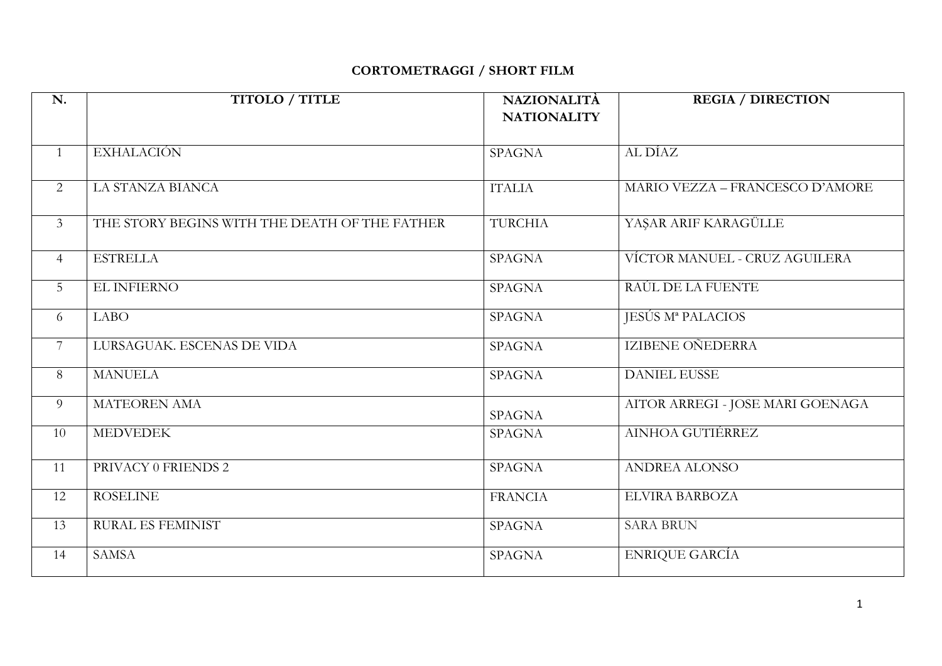## **CORTOMETRAGGI / SHORT FILM**

| N.              | TITOLO / TITLE                                | <b>NAZIONALITÀ</b><br><b>NATIONALITY</b> | <b>REGIA / DIRECTION</b>         |
|-----------------|-----------------------------------------------|------------------------------------------|----------------------------------|
|                 |                                               |                                          |                                  |
| $\mathbf{1}$    | <b>EXHALACIÓN</b>                             | <b>SPAGNA</b>                            | AL DÍAZ                          |
| 2               | LA STANZA BIANCA                              | <b>ITALIA</b>                            | MARIO VEZZA - FRANCESCO D'AMORE  |
| $\mathfrak{Z}$  | THE STORY BEGINS WITH THE DEATH OF THE FATHER | TURCHIA                                  | YAŞAR ARIF KARAGÜLLE             |
| $\overline{4}$  | <b>ESTRELLA</b>                               | <b>SPAGNA</b>                            | VÍCTOR MANUEL - CRUZ AGUILERA    |
| 5               | EL INFIERNO                                   | <b>SPAGNA</b>                            | RAÚL DE LA FUENTE                |
| 6               | <b>LABO</b>                                   | <b>SPAGNA</b>                            | JESÚS Mª PALACIOS                |
| $7\overline{ }$ | LURSAGUAK. ESCENAS DE VIDA                    | <b>SPAGNA</b>                            | <b>IZIBENE OÑEDERRA</b>          |
| 8               | <b>MANUELA</b>                                | <b>SPAGNA</b>                            | <b>DANIEL EUSSE</b>              |
| 9               | <b>MATEOREN AMA</b>                           | <b>SPAGNA</b>                            | AITOR ARREGI - JOSE MARI GOENAGA |
| 10              | <b>MEDVEDEK</b>                               | <b>SPAGNA</b>                            | AINHOA GUTIÉRREZ                 |
| 11              | PRIVACY 0 FRIENDS 2                           | <b>SPAGNA</b>                            | <b>ANDREA ALONSO</b>             |
| 12              | <b>ROSELINE</b>                               | <b>FRANCIA</b>                           | ELVIRA BARBOZA                   |
| 13              | <b>RURAL ES FEMINIST</b>                      | <b>SPAGNA</b>                            | <b>SARA BRUN</b>                 |
| 14              | <b>SAMSA</b>                                  | <b>SPAGNA</b>                            | <b>ENRIQUE GARCÍA</b>            |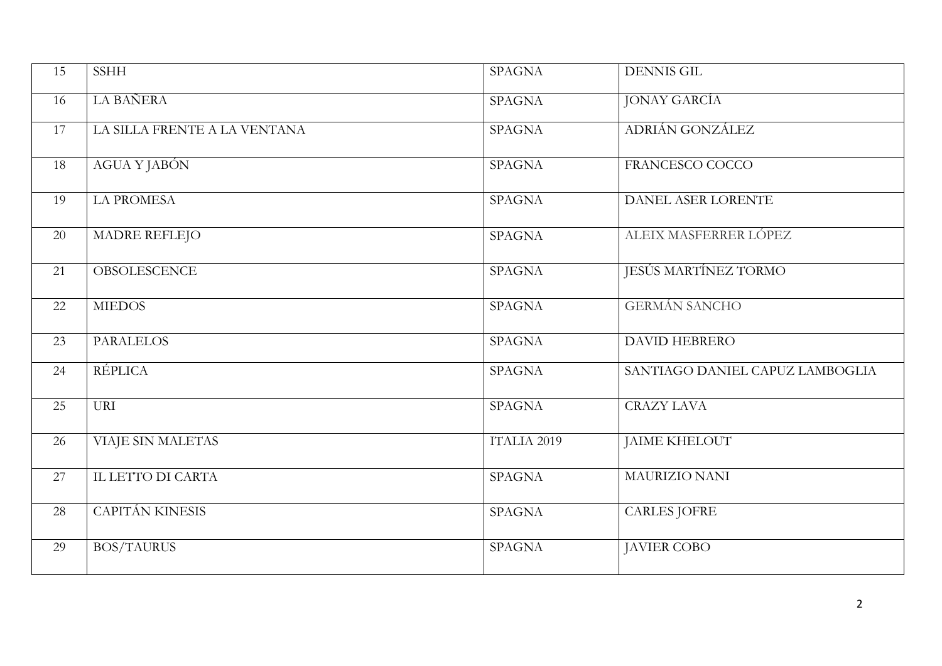| 15 | <b>SSHH</b>                  | <b>SPAGNA</b> | <b>DENNIS GIL</b>               |
|----|------------------------------|---------------|---------------------------------|
| 16 | <b>LA BAÑERA</b>             | <b>SPAGNA</b> | <b>JONAY GARCÍA</b>             |
| 17 | LA SILLA FRENTE A LA VENTANA | <b>SPAGNA</b> | ADRIÁN GONZÁLEZ                 |
| 18 | AGUA Y JABÓN                 | <b>SPAGNA</b> | FRANCESCO COCCO                 |
| 19 | <b>LA PROMESA</b>            | <b>SPAGNA</b> | DANEL ASER LORENTE              |
| 20 | <b>MADRE REFLEJO</b>         | <b>SPAGNA</b> | ALEIX MASFERRER LÓPEZ           |
| 21 | <b>OBSOLESCENCE</b>          | <b>SPAGNA</b> | JESÚS MARTÍNEZ TORMO            |
| 22 | <b>MIEDOS</b>                | <b>SPAGNA</b> | <b>GERMÁN SANCHO</b>            |
| 23 | <b>PARALELOS</b>             | <b>SPAGNA</b> | <b>DAVID HEBRERO</b>            |
| 24 | <b>RÉPLICA</b>               | <b>SPAGNA</b> | SANTIAGO DANIEL CAPUZ LAMBOGLIA |
| 25 | <b>URI</b>                   | <b>SPAGNA</b> | <b>CRAZY LAVA</b>               |
| 26 | <b>VIAJE SIN MALETAS</b>     | ITALIA 2019   | <b>JAIME KHELOUT</b>            |
| 27 | IL LETTO DI CARTA            | <b>SPAGNA</b> | <b>MAURIZIO NANI</b>            |
| 28 | <b>CAPITÁN KINESIS</b>       | <b>SPAGNA</b> | <b>CARLES JOFRE</b>             |
| 29 | <b>BOS/TAURUS</b>            | <b>SPAGNA</b> | <b>JAVIER COBO</b>              |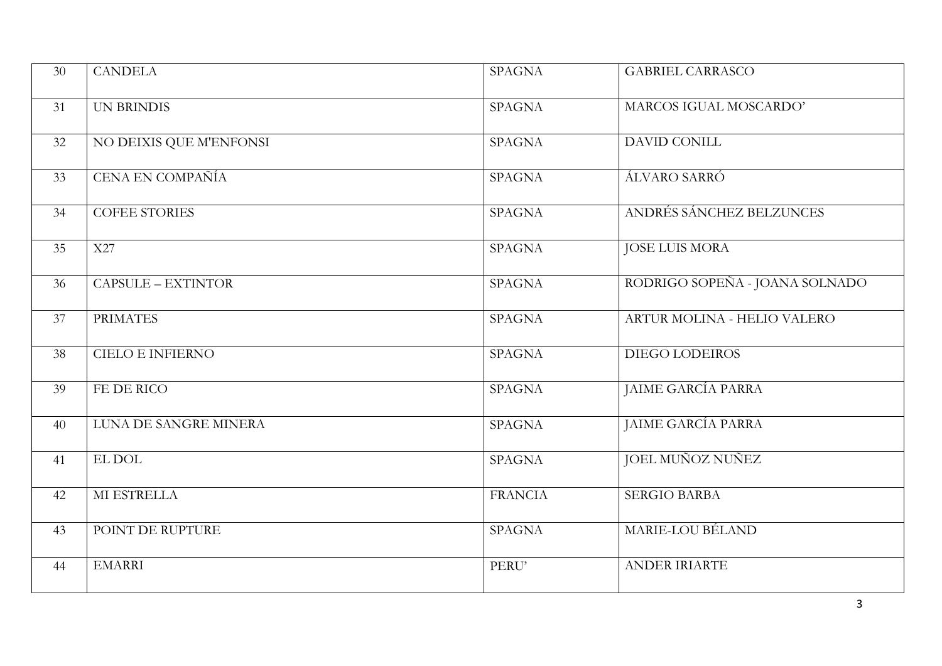| 30 | <b>CANDELA</b>          | <b>SPAGNA</b>  | <b>GABRIEL CARRASCO</b>        |
|----|-------------------------|----------------|--------------------------------|
| 31 | <b>UN BRINDIS</b>       | <b>SPAGNA</b>  | MARCOS IGUAL MOSCARDO'         |
| 32 | NO DEIXIS QUE M'ENFONSI | <b>SPAGNA</b>  | <b>DAVID CONILL</b>            |
| 33 | CENA EN COMPAÑÍA        | <b>SPAGNA</b>  | ÁLVARO SARRÓ                   |
| 34 | <b>COFEE STORIES</b>    | <b>SPAGNA</b>  | ANDRÉS SÁNCHEZ BELZUNCES       |
| 35 | X27                     | <b>SPAGNA</b>  | <b>JOSE LUIS MORA</b>          |
| 36 | CAPSULE - EXTINTOR      | <b>SPAGNA</b>  | RODRIGO SOPEÑA - JOANA SOLNADO |
| 37 | <b>PRIMATES</b>         | <b>SPAGNA</b>  | ARTUR MOLINA - HELIO VALERO    |
| 38 | <b>CIELO E INFIERNO</b> | <b>SPAGNA</b>  | DIEGO LODEIROS                 |
| 39 | FE DE RICO              | <b>SPAGNA</b>  | JAIME GARCÍA PARRA             |
| 40 | LUNA DE SANGRE MINERA   | <b>SPAGNA</b>  | JAIME GARCÍA PARRA             |
| 41 | EL DOL                  | <b>SPAGNA</b>  | <b>JOEL MUÑOZ NUÑEZ</b>        |
| 42 | MI ESTRELLA             | <b>FRANCIA</b> | <b>SERGIO BARBA</b>            |
| 43 | POINT DE RUPTURE        | <b>SPAGNA</b>  | MARIE-LOU BÉLAND               |
| 44 | <b>EMARRI</b>           | PERU'          | <b>ANDER IRIARTE</b>           |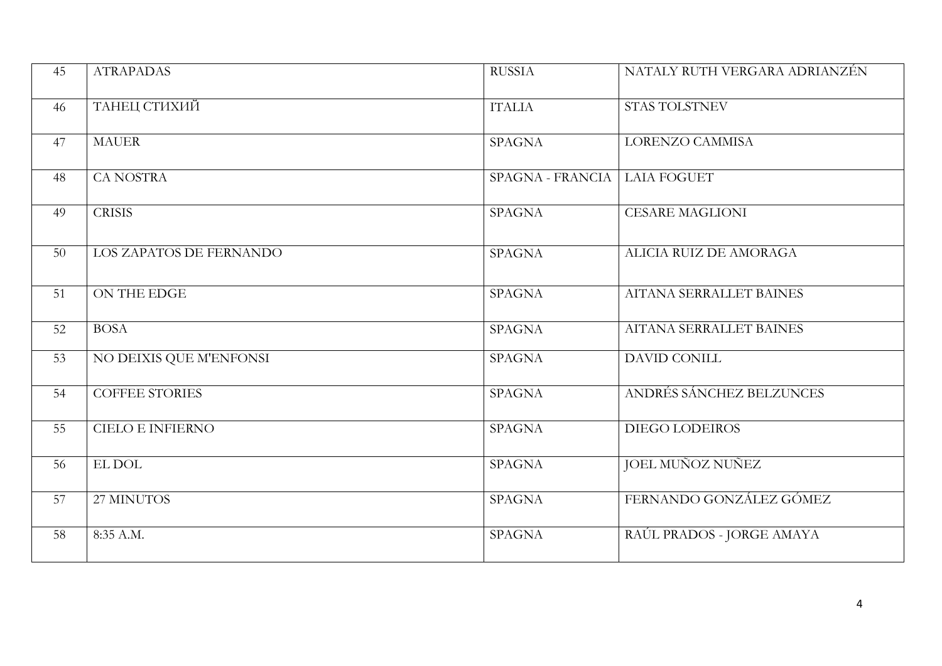| 45 | <b>ATRAPADAS</b>        | <b>RUSSIA</b>    | NATALY RUTH VERGARA ADRIANZÉN  |
|----|-------------------------|------------------|--------------------------------|
| 46 | ТАНЕЦ СТИХИЙ            | <b>ITALIA</b>    | <b>STAS TOLSTNEV</b>           |
| 47 | <b>MAUER</b>            | <b>SPAGNA</b>    | <b>LORENZO CAMMISA</b>         |
| 48 | <b>CA NOSTRA</b>        | SPAGNA - FRANCIA | <b>LAIA FOGUET</b>             |
| 49 | <b>CRISIS</b>           | <b>SPAGNA</b>    | <b>CESARE MAGLIONI</b>         |
| 50 | LOS ZAPATOS DE FERNANDO | <b>SPAGNA</b>    | ALICIA RUIZ DE AMORAGA         |
| 51 | ON THE EDGE             | <b>SPAGNA</b>    | <b>AITANA SERRALLET BAINES</b> |
| 52 | <b>BOSA</b>             | <b>SPAGNA</b>    | AITANA SERRALLET BAINES        |
| 53 | NO DEIXIS QUE M'ENFONSI | <b>SPAGNA</b>    | <b>DAVID CONILL</b>            |
| 54 | <b>COFFEE STORIES</b>   | <b>SPAGNA</b>    | ANDRÉS SÁNCHEZ BELZUNCES       |
| 55 | CIELO E INFIERNO        | <b>SPAGNA</b>    | DIEGO LODEIROS                 |
| 56 | EL DOL                  | <b>SPAGNA</b>    | JOEL MUÑOZ NUÑEZ               |
| 57 | 27 MINUTOS              | <b>SPAGNA</b>    | FERNANDO GONZÁLEZ GÓMEZ        |
| 58 | 8:35 A.M.               | <b>SPAGNA</b>    | RAÚL PRADOS - JORGE AMAYA      |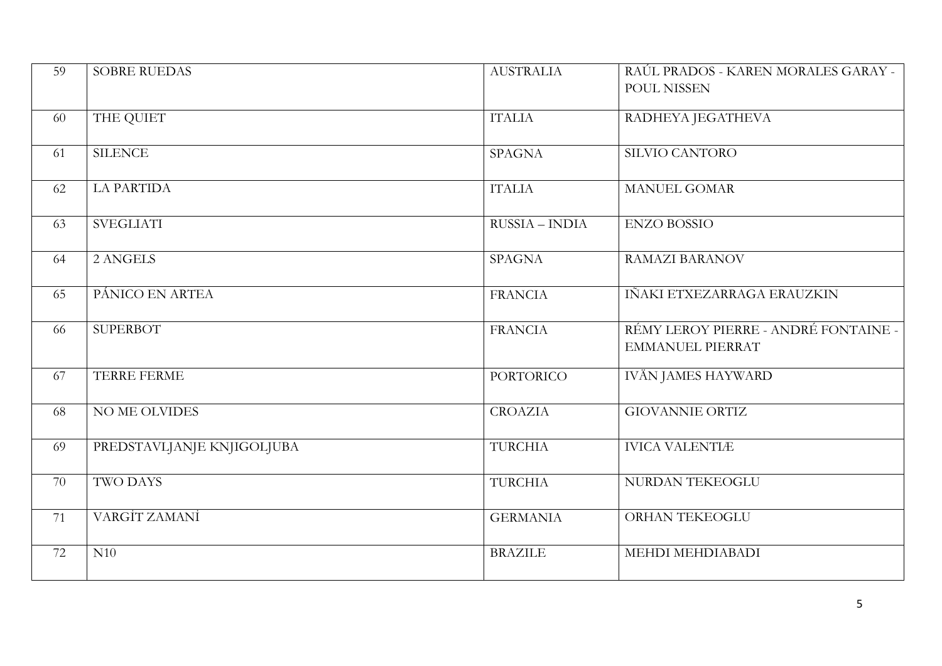| 59 | <b>SOBRE RUEDAS</b>        | <b>AUSTRALIA</b> | RAÚL PRADOS - KAREN MORALES GARAY -<br>POUL NISSEN       |
|----|----------------------------|------------------|----------------------------------------------------------|
| 60 | THE QUIET                  | <b>ITALIA</b>    | RADHEYA JEGATHEVA                                        |
| 61 | <b>SILENCE</b>             | <b>SPAGNA</b>    | SILVIO CANTORO                                           |
| 62 | <b>LA PARTIDA</b>          | <b>ITALIA</b>    | MANUEL GOMAR                                             |
| 63 | <b>SVEGLIATI</b>           | RUSSIA - INDIA   | <b>ENZO BOSSIO</b>                                       |
| 64 | 2 ANGELS                   | <b>SPAGNA</b>    | <b>RAMAZI BARANOV</b>                                    |
| 65 | PÁNICO EN ARTEA            | <b>FRANCIA</b>   | IÑAKI ETXEZARRAGA ERAUZKIN                               |
| 66 | <b>SUPERBOT</b>            | <b>FRANCIA</b>   | RÉMY LEROY PIERRE - ANDRÉ FONTAINE -<br>EMMANUEL PIERRAT |
| 67 | TERRE FERME                | PORTORICO        | <b>IVÄN JAMES HAYWARD</b>                                |
| 68 | NO ME OLVIDES              | <b>CROAZIA</b>   | <b>GIOVANNIE ORTIZ</b>                                   |
| 69 | PREDSTAVLJANJE KNJIGOLJUBA | TURCHIA          | <b>IVICA VALENTIÆ</b>                                    |
| 70 | <b>TWO DAYS</b>            | TURCHIA          | <b>NURDAN TEKEOGLU</b>                                   |
| 71 | VARGİT ZAMANİ              | <b>GERMANIA</b>  | ORHAN TEKEOGLU                                           |
| 72 | N10                        | <b>BRAZILE</b>   | MEHDI MEHDIABADI                                         |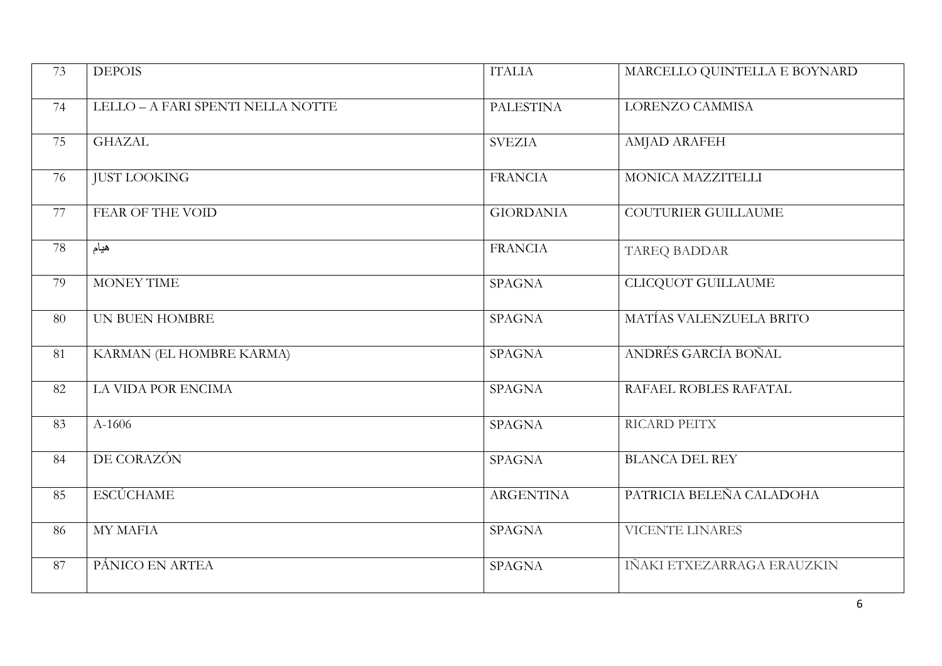| 73 | <b>DEPOIS</b>                     | <b>TTALIA</b>    | MARCELLO QUINTELLA E BOYNARD |
|----|-----------------------------------|------------------|------------------------------|
| 74 | LELLO - A FARI SPENTI NELLA NOTTE | <b>PALESTINA</b> | <b>LORENZO CAMMISA</b>       |
| 75 | <b>GHAZAL</b>                     | <b>SVEZIA</b>    | <b>AMJAD ARAFEH</b>          |
| 76 | <b>JUST LOOKING</b>               | <b>FRANCIA</b>   | MONICA MAZZITELLI            |
| 77 | <b>FEAR OF THE VOID</b>           | <b>GIORDANIA</b> | <b>COUTURIER GUILLAUME</b>   |
| 78 | هيام                              | <b>FRANCIA</b>   | <b>TAREQ BADDAR</b>          |
| 79 | <b>MONEY TIME</b>                 | <b>SPAGNA</b>    | <b>CLICQUOT GUILLAUME</b>    |
| 80 | <b>UN BUEN HOMBRE</b>             | <b>SPAGNA</b>    | MATÍAS VALENZUELA BRITO      |
| 81 | KARMAN (EL HOMBRE KARMA)          | <b>SPAGNA</b>    | ANDRÉS GARCÍA BOÑAL          |
| 82 | LA VIDA POR ENCIMA                | <b>SPAGNA</b>    | RAFAEL ROBLES RAFATAL        |
| 83 | $A-1606$                          | <b>SPAGNA</b>    | RICARD PEITX                 |
| 84 | DE CORAZÓN                        | <b>SPAGNA</b>    | <b>BLANCA DEL REY</b>        |
| 85 | <b>ESCÚCHAME</b>                  | <b>ARGENTINA</b> | PATRICIA BELEÑA CALADOHA     |
| 86 | <b>MY MAFIA</b>                   | <b>SPAGNA</b>    | VICENTE LINARES              |
| 87 | PÁNICO EN ARTEA                   | <b>SPAGNA</b>    | IÑAKI ETXEZARRAGA ERAUZKIN   |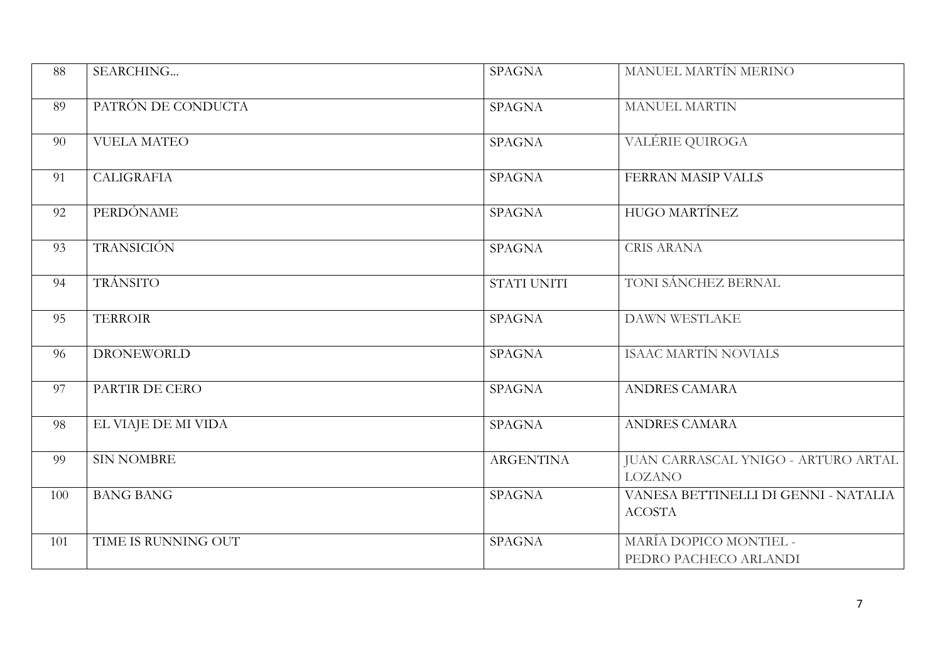| 88  | SEARCHING           | <b>SPAGNA</b>      | MANUEL MARTÍN MERINO                                  |
|-----|---------------------|--------------------|-------------------------------------------------------|
| 89  | PATRÓN DE CONDUCTA  | <b>SPAGNA</b>      | <b>MANUEL MARTIN</b>                                  |
| 90  | <b>VUELA MATEO</b>  | <b>SPAGNA</b>      | VALÉRIE QUIROGA                                       |
| 91  | <b>CALIGRAFIA</b>   | <b>SPAGNA</b>      | FERRAN MASIP VALLS                                    |
| 92  | PERDÓNAME           | <b>SPAGNA</b>      | HUGO MARTÍNEZ                                         |
| 93  | <b>TRANSICIÓN</b>   | <b>SPAGNA</b>      | <b>CRIS ARANA</b>                                     |
| 94  | <b>TRÁNSITO</b>     | <b>STATI UNITI</b> | TONI SÁNCHEZ BERNAL                                   |
| 95  | <b>TERROIR</b>      | <b>SPAGNA</b>      | <b>DAWN WESTLAKE</b>                                  |
| 96  | <b>DRONEWORLD</b>   | <b>SPAGNA</b>      | <b>ISAAC MARTÍN NOVIALS</b>                           |
| 97  | PARTIR DE CERO      | <b>SPAGNA</b>      | <b>ANDRES CAMARA</b>                                  |
| 98  | EL VIAJE DE MI VIDA | <b>SPAGNA</b>      | <b>ANDRES CAMARA</b>                                  |
| 99  | <b>SIN NOMBRE</b>   | <b>ARGENTINA</b>   | JUAN CARRASCAL YNIGO - ARTURO ARTAL<br><b>LOZANO</b>  |
| 100 | <b>BANG BANG</b>    | <b>SPAGNA</b>      | VANESA BETTINELLI DI GENNI - NATALIA<br><b>ACOSTA</b> |
| 101 | TIME IS RUNNING OUT | <b>SPAGNA</b>      | MARÍA DOPICO MONTIEL -<br>PEDRO PACHECO ARLANDI       |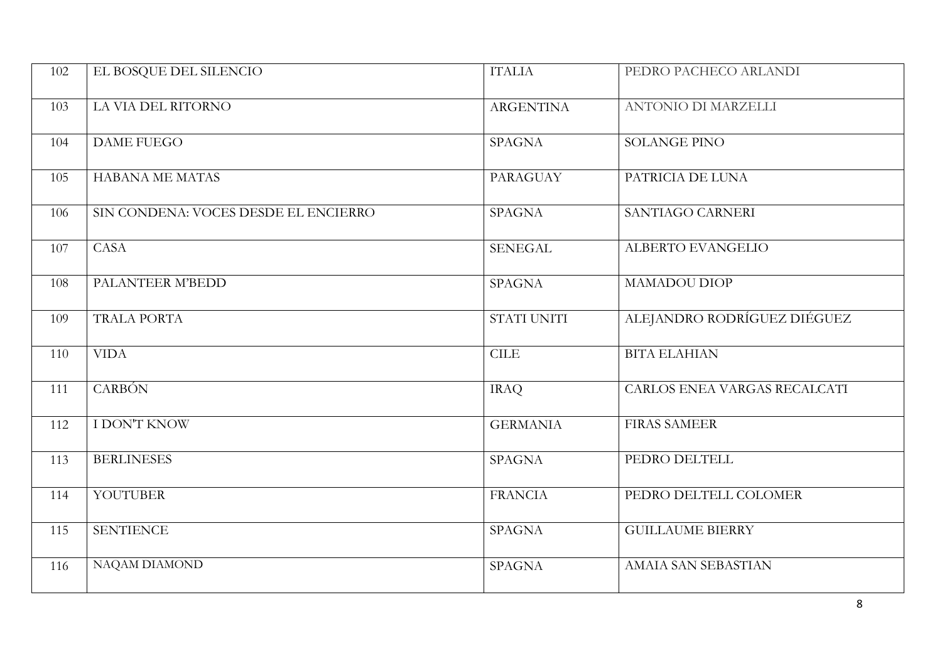| 102 | EL BOSQUE DEL SILENCIO               | <b>ITALIA</b>    | PEDRO PACHECO ARLANDI        |
|-----|--------------------------------------|------------------|------------------------------|
| 103 | LA VIA DEL RITORNO                   | <b>ARGENTINA</b> | ANTONIO DI MARZELLI          |
| 104 | <b>DAME FUEGO</b>                    | <b>SPAGNA</b>    | <b>SOLANGE PINO</b>          |
| 105 | <b>HABANA ME MATAS</b>               | PARAGUAY         | PATRICIA DE LUNA             |
| 106 | SIN CONDENA: VOCES DESDE EL ENCIERRO | <b>SPAGNA</b>    | SANTIAGO CARNERI             |
| 107 | CASA                                 | <b>SENEGAL</b>   | ALBERTO EVANGELIO            |
| 108 | PALANTEER M'BEDD                     | <b>SPAGNA</b>    | MAMADOU DIOP                 |
| 109 | TRALA PORTA                          | STATI UNITI      | ALEJANDRO RODRÍGUEZ DIÉGUEZ  |
| 110 | <b>VIDA</b>                          | CILE             | <b>BITA ELAHIAN</b>          |
| 111 | <b>CARBÓN</b>                        | <b>IRAQ</b>      | CARLOS ENEA VARGAS RECALCATI |
| 112 | <b>I DON'T KNOW</b>                  | <b>GERMANIA</b>  | <b>FIRAS SAMEER</b>          |
| 113 | <b>BERLINESES</b>                    | <b>SPAGNA</b>    | PEDRO DELTELL                |
| 114 | YOUTUBER                             | <b>FRANCIA</b>   | PEDRO DELTELL COLOMER        |
| 115 | <b>SENTIENCE</b>                     | <b>SPAGNA</b>    | <b>GUILLAUME BIERRY</b>      |
| 116 | NAQAM DIAMOND                        | <b>SPAGNA</b>    | AMAIA SAN SEBASTIAN          |
|     |                                      |                  |                              |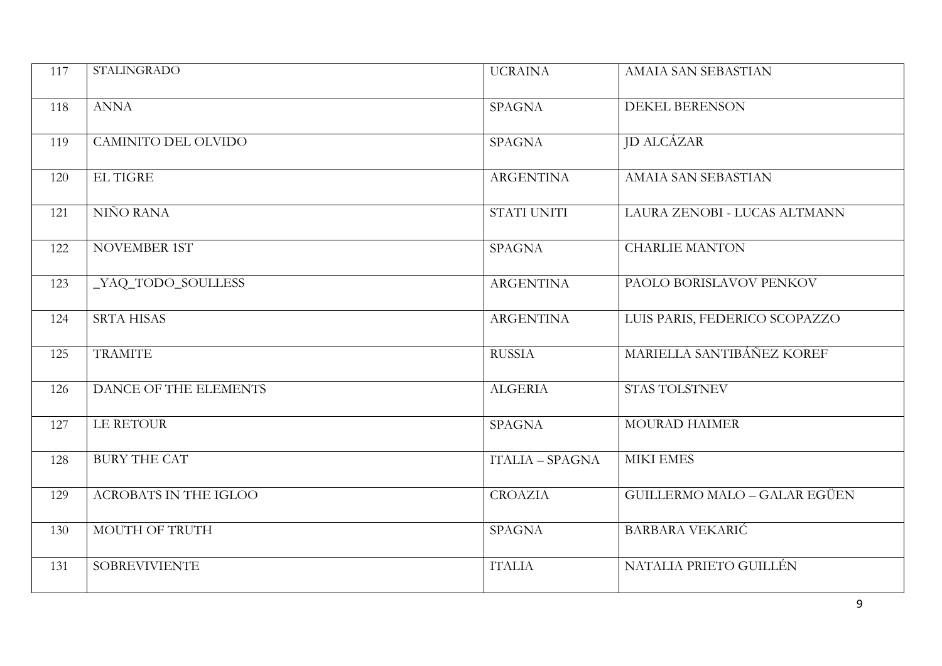| 117 | <b>STALINGRADO</b>           | <b>UCRAINA</b>   | AMAIA SAN SEBASTIAN           |
|-----|------------------------------|------------------|-------------------------------|
| 118 | <b>ANNA</b>                  | <b>SPAGNA</b>    | <b>DEKEL BERENSON</b>         |
| 119 | CAMINITO DEL OLVIDO          | <b>SPAGNA</b>    | <b>JD ALCÁZAR</b>             |
| 120 | <b>EL TIGRE</b>              | <b>ARGENTINA</b> | AMAIA SAN SEBASTIAN           |
| 121 | NIÑO RANA                    | STATI UNITI      | LAURA ZENOBI - LUCAS ALTMANN  |
| 122 | NOVEMBER 1ST                 | <b>SPAGNA</b>    | <b>CHARLIE MANTON</b>         |
| 123 | YAQ_TODO_SOULLESS            | <b>ARGENTINA</b> | PAOLO BORISLAVOV PENKOV       |
| 124 | <b>SRTA HISAS</b>            | <b>ARGENTINA</b> | LUIS PARIS, FEDERICO SCOPAZZO |
| 125 | <b>TRAMITE</b>               | <b>RUSSIA</b>    | MARIELLA SANTIBÁÑEZ KOREF     |
| 126 | DANCE OF THE ELEMENTS        | <b>ALGERIA</b>   | <b>STAS TOLSTNEV</b>          |
| 127 | LE RETOUR                    | <b>SPAGNA</b>    | MOURAD HAIMER                 |
| 128 | <b>BURY THE CAT</b>          | ITALIA - SPAGNA  | <b>MIKI EMES</b>              |
| 129 | <b>ACROBATS IN THE IGLOO</b> | <b>CROAZIA</b>   | GUILLERMO MALO - GALAR EGÜEN  |
| 130 | MOUTH OF TRUTH               | <b>SPAGNA</b>    | <b>BARBARA VEKARIĆ</b>        |
| 131 | <b>SOBREVIVIENTE</b>         | <b>ITALIA</b>    | NATALIA PRIETO GUILLÉN        |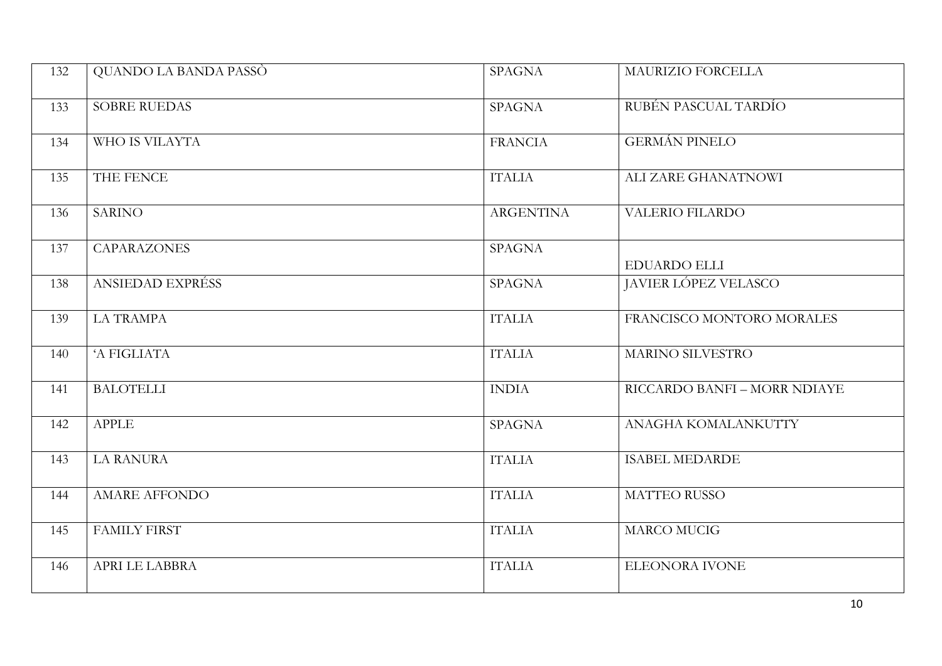| 132 | QUANDO LA BANDA PASSÒ | <b>SPAGNA</b>    | MAURIZIO FORCELLA            |
|-----|-----------------------|------------------|------------------------------|
| 133 | <b>SOBRE RUEDAS</b>   | <b>SPAGNA</b>    | RUBÉN PASCUAL TARDÍO         |
| 134 | WHO IS VILAYTA        | <b>FRANCIA</b>   | <b>GERMÁN PINELO</b>         |
| 135 | THE FENCE             | <b>ITALIA</b>    | ALI ZARE GHANATNOWI          |
| 136 | <b>SARINO</b>         | <b>ARGENTINA</b> | <b>VALERIO FILARDO</b>       |
| 137 | <b>CAPARAZONES</b>    | <b>SPAGNA</b>    | EDUARDO ELLI                 |
| 138 | ANSIEDAD EXPRÉSS      | <b>SPAGNA</b>    | JAVIER LÓPEZ VELASCO         |
| 139 | <b>LA TRAMPA</b>      | <b>ITALIA</b>    | FRANCISCO MONTORO MORALES    |
| 140 | 'A FIGLIATA           | <b>ITALIA</b>    | MARINO SILVESTRO             |
| 141 | <b>BALOTELLI</b>      | <b>INDIA</b>     | RICCARDO BANFI - MORR NDIAYE |
| 142 | <b>APPLE</b>          | <b>SPAGNA</b>    | ANAGHA KOMALANKUTTY          |
| 143 | <b>LA RANURA</b>      | <b>ITALIA</b>    | <b>ISABEL MEDARDE</b>        |
| 144 | <b>AMARE AFFONDO</b>  | <b>ITALIA</b>    | MATTEO RUSSO                 |
| 145 | <b>FAMILY FIRST</b>   | <b>ITALIA</b>    | <b>MARCO MUCIG</b>           |
| 146 | APRI LE LABBRA        | <b>ITALIA</b>    | <b>ELEONORA IVONE</b>        |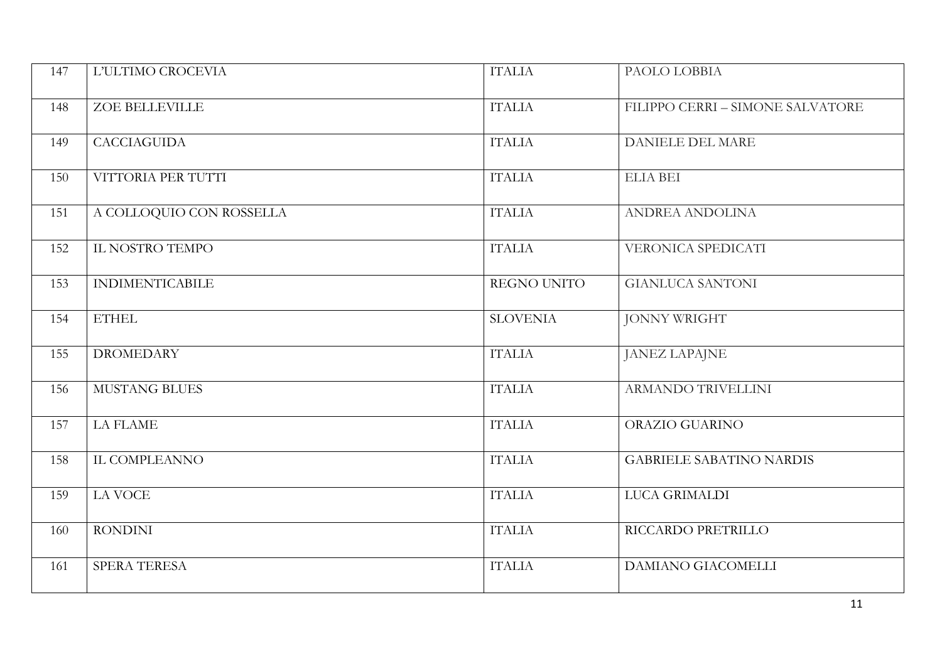| 147 | L'ULTIMO CROCEVIA        | <b>ITALIA</b>   | PAOLO LOBBIA                     |
|-----|--------------------------|-----------------|----------------------------------|
| 148 | <b>ZOE BELLEVILLE</b>    | <b>ITALIA</b>   | FILIPPO CERRI - SIMONE SALVATORE |
| 149 | <b>CACCIAGUIDA</b>       | <b>ITALIA</b>   | DANIELE DEL MARE                 |
| 150 | VITTORIA PER TUTTI       | <b>ITALIA</b>   | <b>ELIA BEI</b>                  |
| 151 | A COLLOQUIO CON ROSSELLA | <b>ITALIA</b>   | ANDREA ANDOLINA                  |
| 152 | IL NOSTRO TEMPO          | <b>ITALIA</b>   | VERONICA SPEDICATI               |
| 153 | <b>INDIMENTICABILE</b>   | REGNO UNITO     | <b>GIANLUCA SANTONI</b>          |
| 154 | <b>ETHEL</b>             | <b>SLOVENIA</b> | <b>JONNY WRIGHT</b>              |
| 155 | <b>DROMEDARY</b>         | <b>ITALIA</b>   | <b>JANEZ LAPAJNE</b>             |
| 156 | MUSTANG BLUES            | <b>ITALIA</b>   | ARMANDO TRIVELLINI               |
| 157 | <b>LA FLAME</b>          | <b>ITALIA</b>   | ORAZIO GUARINO                   |
| 158 | IL COMPLEANNO            | <b>ITALIA</b>   | <b>GABRIELE SABATINO NARDIS</b>  |
| 159 | <b>LA VOCE</b>           | <b>ITALIA</b>   | <b>LUCA GRIMALDI</b>             |
| 160 | <b>RONDINI</b>           | <b>ITALIA</b>   | RICCARDO PRETRILLO               |
| 161 | <b>SPERA TERESA</b>      | <b>ITALIA</b>   | DAMIANO GIACOMELLI               |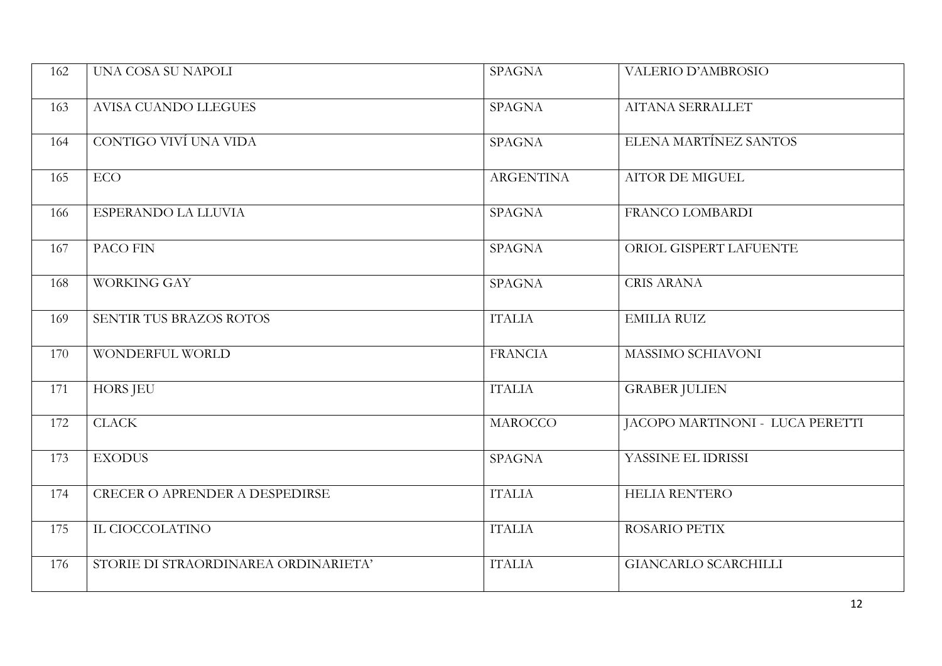| 162 | UNA COSA SU NAPOLI                    | <b>SPAGNA</b>    | VALERIO D'AMBROSIO              |
|-----|---------------------------------------|------------------|---------------------------------|
| 163 | AVISA CUANDO LLEGUES                  | <b>SPAGNA</b>    | <b>AITANA SERRALLET</b>         |
| 164 | CONTIGO VIVÍ UNA VIDA                 | <b>SPAGNA</b>    | ELENA MARTÍNEZ SANTOS           |
| 165 | ECO                                   | <b>ARGENTINA</b> | <b>AITOR DE MIGUEL</b>          |
| 166 | ESPERANDO LA LLUVIA                   | <b>SPAGNA</b>    | FRANCO LOMBARDI                 |
| 167 | PACO FIN                              | <b>SPAGNA</b>    | ORIOL GISPERT LAFUENTE          |
| 168 | <b>WORKING GAY</b>                    | <b>SPAGNA</b>    | <b>CRIS ARANA</b>               |
| 169 | SENTIR TUS BRAZOS ROTOS               | <b>ITALIA</b>    | <b>EMILIA RUIZ</b>              |
| 170 | WONDERFUL WORLD                       | <b>FRANCIA</b>   | MASSIMO SCHIAVONI               |
| 171 | <b>HORS JEU</b>                       | <b>TTALIA</b>    | <b>GRABER JULIEN</b>            |
| 172 | <b>CLACK</b>                          | <b>MAROCCO</b>   | JACOPO MARTINONI - LUCA PERETTI |
| 173 | <b>EXODUS</b>                         | <b>SPAGNA</b>    | YASSINE EL IDRISSI              |
| 174 | <b>CRECER O APRENDER A DESPEDIRSE</b> | <b>ITALIA</b>    | <b>HELIA RENTERO</b>            |
| 175 | IL CIOCCOLATINO                       | <b>ITALIA</b>    | ROSARIO PETIX                   |
| 176 | STORIE DI STRAORDINAREA ORDINARIETA'  | <b>ITALIA</b>    | <b>GIANCARLO SCARCHILLI</b>     |
|     |                                       |                  |                                 |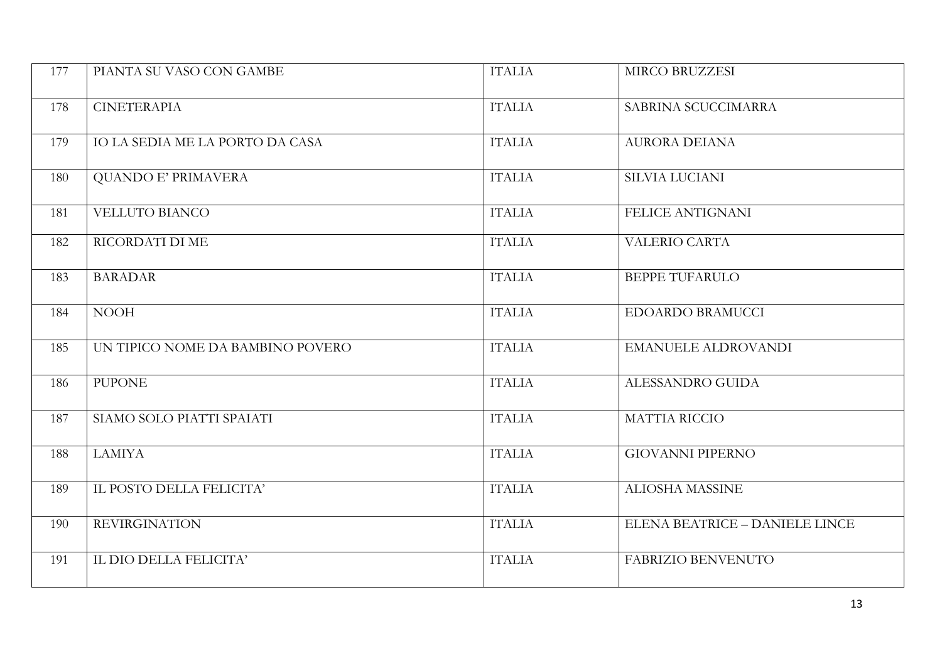| 177 | PIANTA SU VASO CON GAMBE         | <b>ITALIA</b> | <b>MIRCO BRUZZESI</b>          |
|-----|----------------------------------|---------------|--------------------------------|
| 178 | <b>CINETERAPIA</b>               | <b>ITALIA</b> | SABRINA SCUCCIMARRA            |
| 179 | IO LA SEDIA ME LA PORTO DA CASA  | <b>ITALIA</b> | <b>AURORA DEIANA</b>           |
| 180 | QUANDO E' PRIMAVERA              | <b>ITALIA</b> | SILVIA LUCIANI                 |
| 181 | <b>VELLUTO BIANCO</b>            | <b>ITALIA</b> | <b>FELICE ANTIGNANI</b>        |
| 182 | RICORDATI DI ME                  | <b>ITALIA</b> | VALERIO CARTA                  |
| 183 | <b>BARADAR</b>                   | <b>ITALIA</b> | <b>BEPPE TUFARULO</b>          |
| 184 | <b>NOOH</b>                      | <b>ITALIA</b> | <b>EDOARDO BRAMUCCI</b>        |
| 185 | UN TIPICO NOME DA BAMBINO POVERO | <b>ITALIA</b> | <b>EMANUELE ALDROVANDI</b>     |
| 186 | <b>PUPONE</b>                    | <b>ITALIA</b> | ALESSANDRO GUIDA               |
| 187 | SIAMO SOLO PIATTI SPAIATI        | <b>ITALIA</b> | <b>MATTIA RICCIO</b>           |
| 188 | <b>LAMIYA</b>                    | <b>ITALIA</b> | <b>GIOVANNI PIPERNO</b>        |
| 189 | IL POSTO DELLA FELICITA'         | <b>ITALIA</b> | <b>ALIOSHA MASSINE</b>         |
| 190 | <b>REVIRGINATION</b>             | <b>ITALIA</b> | ELENA BEATRICE - DANIELE LINCE |
| 191 | IL DIO DELLA FELICITA'           | <b>ITALIA</b> | <b>FABRIZIO BENVENUTO</b>      |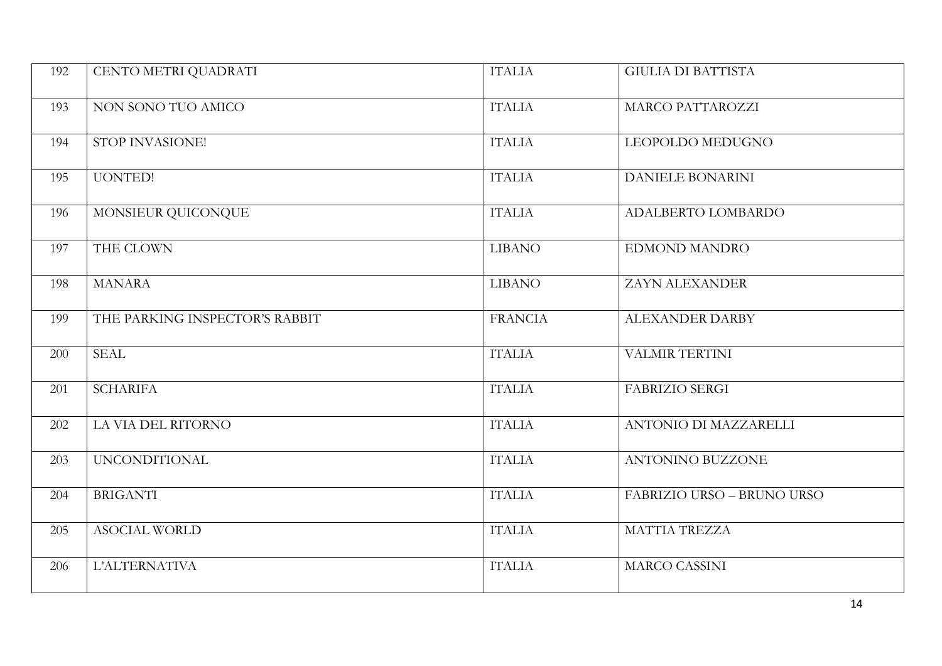| 192 | CENTO METRI QUADRATI           | <b>ITALIA</b>  | <b>GIULIA DI BATTISTA</b>  |
|-----|--------------------------------|----------------|----------------------------|
| 193 | NON SONO TUO AMICO             | <b>ITALIA</b>  | MARCO PATTAROZZI           |
| 194 | STOP INVASIONE!                | <b>ITALIA</b>  | LEOPOLDO MEDUGNO           |
| 195 | <b>UONTED!</b>                 | <b>ITALIA</b>  | <b>DANIELE BONARINI</b>    |
| 196 | MONSIEUR QUICONQUE             | <b>ITALIA</b>  | ADALBERTO LOMBARDO         |
| 197 | THE CLOWN                      | <b>LIBANO</b>  | EDMOND MANDRO              |
| 198 | <b>MANARA</b>                  | <b>LIBANO</b>  | ZAYN ALEXANDER             |
| 199 | THE PARKING INSPECTOR'S RABBIT | <b>FRANCIA</b> | ALEXANDER DARBY            |
| 200 | <b>SEAL</b>                    | <b>ITALIA</b>  | <b>VALMIR TERTINI</b>      |
| 201 | <b>SCHARIFA</b>                | <b>ITALIA</b>  | FABRIZIO SERGI             |
| 202 | LA VIA DEL RITORNO             | <b>ITALIA</b>  | ANTONIO DI MAZZARELLI      |
| 203 | <b>UNCONDITIONAL</b>           | <b>ITALIA</b>  | <b>ANTONINO BUZZONE</b>    |
| 204 | <b>BRIGANTI</b>                | <b>ITALIA</b>  | FABRIZIO URSO - BRUNO URSO |
| 205 | <b>ASOCIAL WORLD</b>           | <b>ITALIA</b>  | MATTIA TREZZA              |
| 206 | L'ALTERNATIVA                  | <b>ITALIA</b>  | MARCO CASSINI              |
|     |                                |                |                            |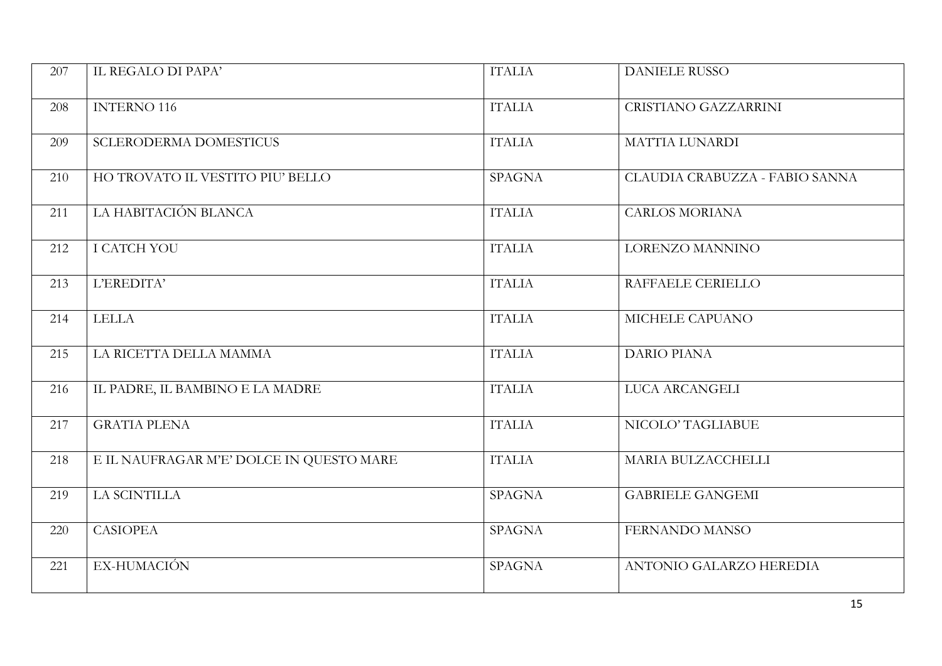| 207 | IL REGALO DI PAPA'                       | <b>ITALIA</b> | <b>DANIELE RUSSO</b>           |
|-----|------------------------------------------|---------------|--------------------------------|
| 208 | <b>INTERNO 116</b>                       | <b>ITALIA</b> | CRISTIANO GAZZARRINI           |
| 209 | <b>SCLERODERMA DOMESTICUS</b>            | <b>ITALIA</b> | MATTIA LUNARDI                 |
| 210 | HO TROVATO IL VESTITO PIU' BELLO         | <b>SPAGNA</b> | CLAUDIA CRABUZZA - FABIO SANNA |
| 211 | LA HABITACIÓN BLANCA                     | <b>ITALIA</b> | <b>CARLOS MORIANA</b>          |
| 212 | I CATCH YOU                              | <b>ITALIA</b> | LORENZO MANNINO                |
| 213 | L'EREDITA'                               | <b>ITALIA</b> | RAFFAELE CERIELLO              |
| 214 | <b>LELLA</b>                             | <b>ITALIA</b> | MICHELE CAPUANO                |
| 215 | LA RICETTA DELLA MAMMA                   | <b>ITALIA</b> | <b>DARIO PIANA</b>             |
| 216 | IL PADRE, IL BAMBINO E LA MADRE          | <b>ITALIA</b> | LUCA ARCANGELI                 |
| 217 | <b>GRATIA PLENA</b>                      | <b>ITALIA</b> | NICOLO' TAGLIABUE              |
| 218 | E IL NAUFRAGAR M'E' DOLCE IN QUESTO MARE | <b>ITALIA</b> | MARIA BULZACCHELLI             |
| 219 | LA SCINTILLA                             | <b>SPAGNA</b> | <b>GABRIELE GANGEMI</b>        |
| 220 | <b>CASIOPEA</b>                          | <b>SPAGNA</b> | FERNANDO MANSO                 |
| 221 | EX-HUMACIÓN                              | <b>SPAGNA</b> | ANTONIO GALARZO HEREDIA        |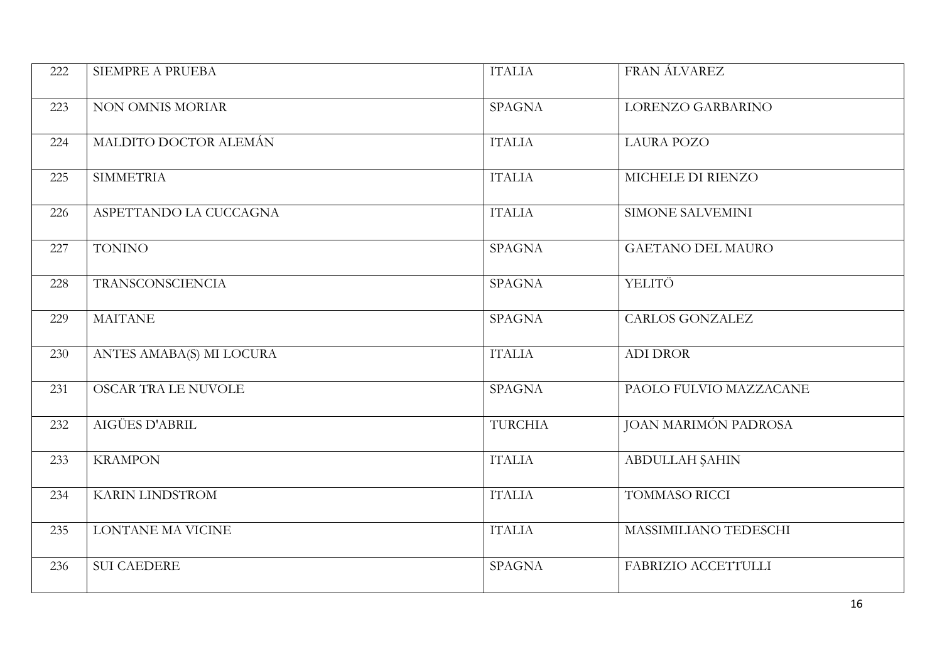| 222 | SIEMPRE A PRUEBA         | <b>ITALIA</b>  | FRAN ÁLVAREZ             |
|-----|--------------------------|----------------|--------------------------|
|     |                          |                |                          |
|     |                          |                |                          |
| 223 | <b>NON OMNIS MORIAR</b>  | <b>SPAGNA</b>  | LORENZO GARBARINO        |
|     |                          |                |                          |
| 224 | MALDITO DOCTOR ALEMÁN    | <b>ITALIA</b>  | <b>LAURA POZO</b>        |
|     |                          |                |                          |
|     |                          |                |                          |
| 225 | <b>SIMMETRIA</b>         | <b>ITALIA</b>  | MICHELE DI RIENZO        |
|     |                          |                |                          |
| 226 | ASPETTANDO LA CUCCAGNA   | <b>ITALIA</b>  | SIMONE SALVEMINI         |
|     |                          |                |                          |
|     |                          |                |                          |
| 227 | <b>TONINO</b>            | <b>SPAGNA</b>  | <b>GAETANO DEL MAURO</b> |
|     |                          |                |                          |
| 228 | TRANSCONSCIENCIA         | <b>SPAGNA</b>  | YELITÖ                   |
|     |                          |                |                          |
|     |                          |                |                          |
| 229 | <b>MAITANE</b>           | <b>SPAGNA</b>  | <b>CARLOS GONZALEZ</b>   |
|     |                          |                |                          |
| 230 | ANTES AMABA(S) MI LOCURA | <b>ITALIA</b>  | <b>ADI DROR</b>          |
|     |                          |                |                          |
| 231 | OSCAR TRA LE NUVOLE      | <b>SPAGNA</b>  | PAOLO FULVIO MAZZACANE   |
|     |                          |                |                          |
|     |                          |                |                          |
| 232 | AIGÜES D'ABRIL           | <b>TURCHIA</b> | JOAN MARIMÓN PADROSA     |
|     |                          |                |                          |
| 233 | <b>KRAMPON</b>           | <b>ITALIA</b>  | ABDULLAH ŞAHIN           |
|     |                          |                |                          |
|     |                          |                |                          |
| 234 | <b>KARIN LINDSTROM</b>   | <b>ITALIA</b>  | <b>TOMMASO RICCI</b>     |
|     |                          |                |                          |
| 235 | LONTANE MA VICINE        | <b>ITALIA</b>  | MASSIMILIANO TEDESCHI    |
|     |                          |                |                          |
|     |                          |                |                          |
| 236 | <b>SUI CAEDERE</b>       | <b>SPAGNA</b>  | FABRIZIO ACCETTULLI      |
|     |                          |                |                          |
|     |                          |                |                          |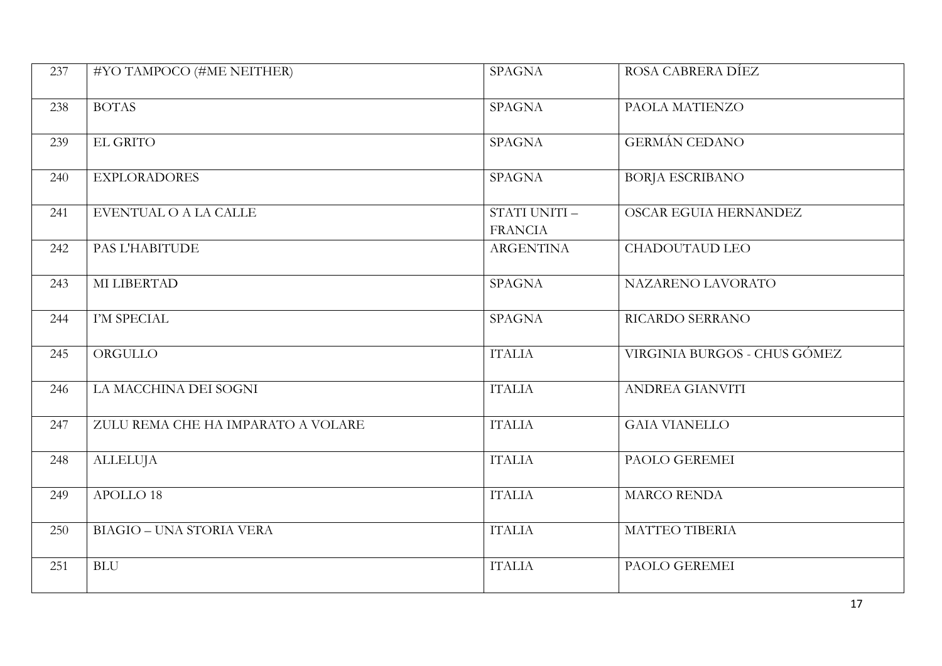| 237 | #YO TAMPOCO (#ME NEITHER)          | <b>SPAGNA</b>                   | ROSA CABRERA DÍEZ            |
|-----|------------------------------------|---------------------------------|------------------------------|
| 238 | <b>BOTAS</b>                       | <b>SPAGNA</b>                   | PAOLA MATIENZO               |
| 239 | <b>EL GRITO</b>                    | <b>SPAGNA</b>                   | <b>GERMÁN CEDANO</b>         |
| 240 | <b>EXPLORADORES</b>                | <b>SPAGNA</b>                   | <b>BORJA ESCRIBANO</b>       |
| 241 | EVENTUAL O A LA CALLE              | STATI UNITI -<br><b>FRANCIA</b> | OSCAR EGUIA HERNANDEZ        |
| 242 | PAS L'HABITUDE                     | <b>ARGENTINA</b>                | <b>CHADOUTAUD LEO</b>        |
| 243 | MI LIBERTAD                        | <b>SPAGNA</b>                   | NAZARENO LAVORATO            |
| 244 | I'M SPECIAL                        | <b>SPAGNA</b>                   | RICARDO SERRANO              |
| 245 | ORGULLO                            | <b>ITALIA</b>                   | VIRGINIA BURGOS - CHUS GÓMEZ |
| 246 | LA MACCHINA DEI SOGNI              | <b>ITALIA</b>                   | <b>ANDREA GIANVITI</b>       |
| 247 | ZULU REMA CHE HA IMPARATO A VOLARE | <b>ITALIA</b>                   | <b>GAIA VIANELLO</b>         |
| 248 | <b>ALLELUJA</b>                    | <b>ITALIA</b>                   | PAOLO GEREMEI                |
| 249 | APOLLO 18                          | <b>ITALIA</b>                   | MARCO RENDA                  |
| 250 | <b>BIAGIO - UNA STORIA VERA</b>    | <b>ITALIA</b>                   | MATTEO TIBERIA               |
| 251 | <b>BLU</b>                         | <b>ITALIA</b>                   | PAOLO GEREMEI                |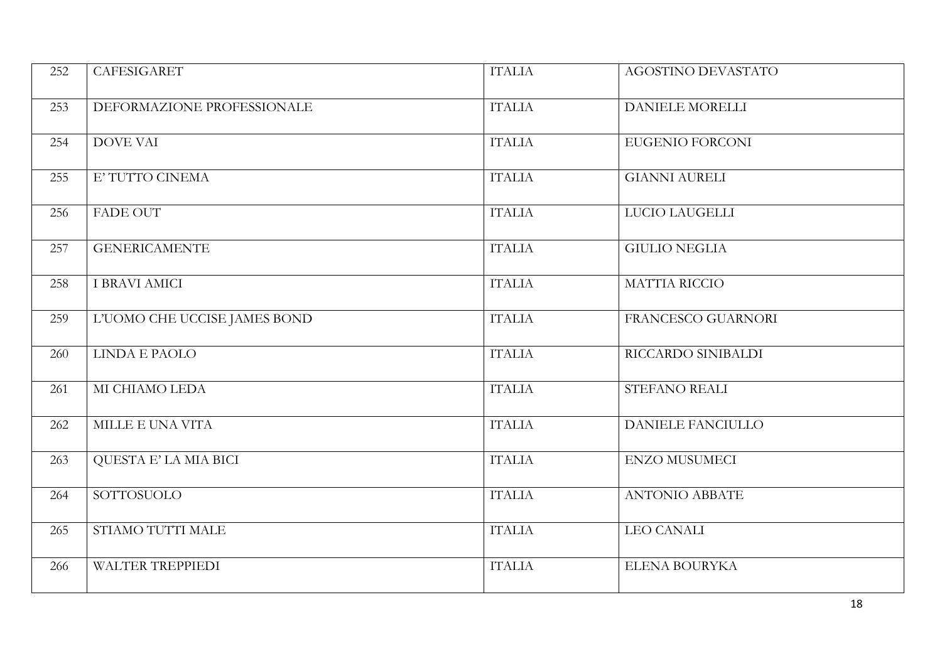| 252 | CAFESIGARET                  | <b>ITALIA</b> | AGOSTINO DEVASTATO       |
|-----|------------------------------|---------------|--------------------------|
| 253 | DEFORMAZIONE PROFESSIONALE   | <b>ITALIA</b> | DANIELE MORELLI          |
| 254 | <b>DOVE VAI</b>              | <b>ITALIA</b> | EUGENIO FORCONI          |
| 255 | E' TUTTO CINEMA              | <b>ITALIA</b> | <b>GIANNI AURELI</b>     |
| 256 | <b>FADE OUT</b>              | <b>ITALIA</b> | LUCIO LAUGELLI           |
| 257 | <b>GENERICAMENTE</b>         | <b>ITALIA</b> | <b>GIULIO NEGLIA</b>     |
| 258 | <b>I BRAVI AMICI</b>         | <b>ITALIA</b> | MATTIA RICCIO            |
| 259 | L'UOMO CHE UCCISE JAMES BOND | <b>ITALIA</b> | FRANCESCO GUARNORI       |
| 260 | LINDA E PAOLO                | <b>ITALIA</b> | RICCARDO SINIBALDI       |
| 261 | MI CHIAMO LEDA               | <b>ITALIA</b> | <b>STEFANO REALI</b>     |
| 262 | MILLE E UNA VITA             | <b>ITALIA</b> | <b>DANIELE FANCIULLO</b> |
| 263 | QUESTA E' LA MIA BICI        | <b>ITALIA</b> | <b>ENZO MUSUMECI</b>     |
| 264 | <b>SOTTOSUOLO</b>            | <b>ITALIA</b> | <b>ANTONIO ABBATE</b>    |
| 265 | STIAMO TUTTI MALE            | <b>ITALIA</b> | <b>LEO CANALI</b>        |
| 266 | <b>WALTER TREPPIEDI</b>      | <b>ITALIA</b> | ELENA BOURYKA            |
|     |                              |               |                          |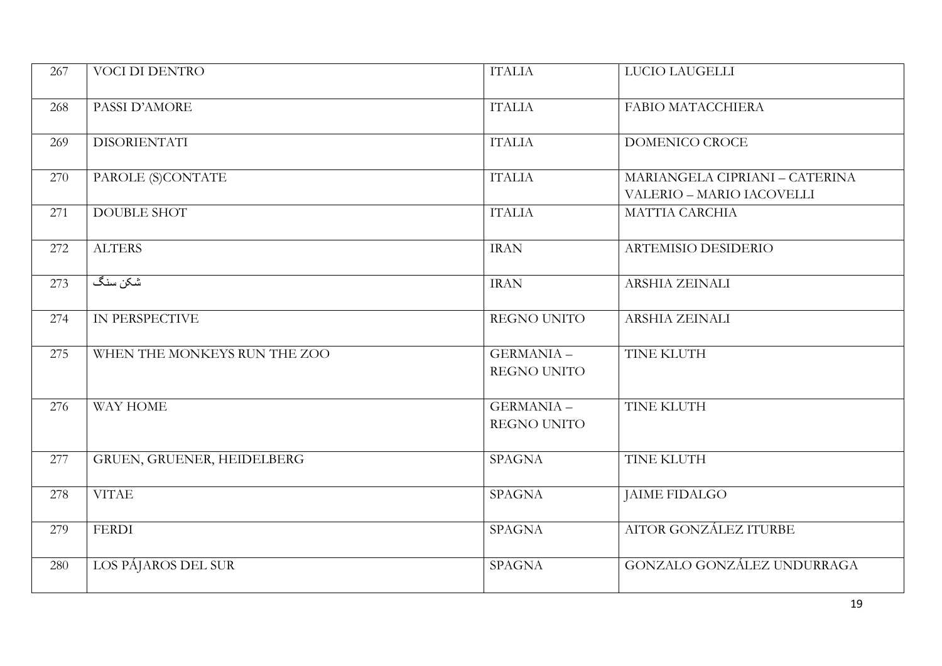| 267 | VOCI DI DENTRO               | <b>ITALIA</b>             | LUCIO LAUGELLI                                              |
|-----|------------------------------|---------------------------|-------------------------------------------------------------|
| 268 | PASSI D'AMORE                | <b>ITALIA</b>             | FABIO MATACCHIERA                                           |
| 269 | <b>DISORIENTATI</b>          | <b>ITALIA</b>             | DOMENICO CROCE                                              |
| 270 | PAROLE (S)CONTATE            | <b>ITALIA</b>             | MARIANGELA CIPRIANI - CATERINA<br>VALERIO - MARIO IACOVELLI |
| 271 | <b>DOUBLE SHOT</b>           | <b>ITALIA</b>             | MATTIA CARCHIA                                              |
| 272 | <b>ALTERS</b>                | <b>IRAN</b>               | ARTEMISIO DESIDERIO                                         |
| 273 | شکن سنگ                      | <b>IRAN</b>               | ARSHIA ZEINALI                                              |
| 274 | IN PERSPECTIVE               | REGNO UNITO               | ARSHIA ZEINALI                                              |
| 275 | WHEN THE MONKEYS RUN THE ZOO | GERMANIA -<br>REGNO UNITO | <b>TINE KLUTH</b>                                           |
| 276 | WAY HOME                     | GERMANIA -<br>REGNO UNITO | <b>TINE KLUTH</b>                                           |
| 277 | GRUEN, GRUENER, HEIDELBERG   | <b>SPAGNA</b>             | <b>TINE KLUTH</b>                                           |
| 278 | <b>VITAE</b>                 | <b>SPAGNA</b>             | <b>JAIME FIDALGO</b>                                        |
| 279 | <b>FERDI</b>                 | <b>SPAGNA</b>             | AITOR GONZÁLEZ ITURBE                                       |
| 280 | LOS PÁJAROS DEL SUR          | <b>SPAGNA</b>             | GONZALO GONZÁLEZ UNDURRAGA                                  |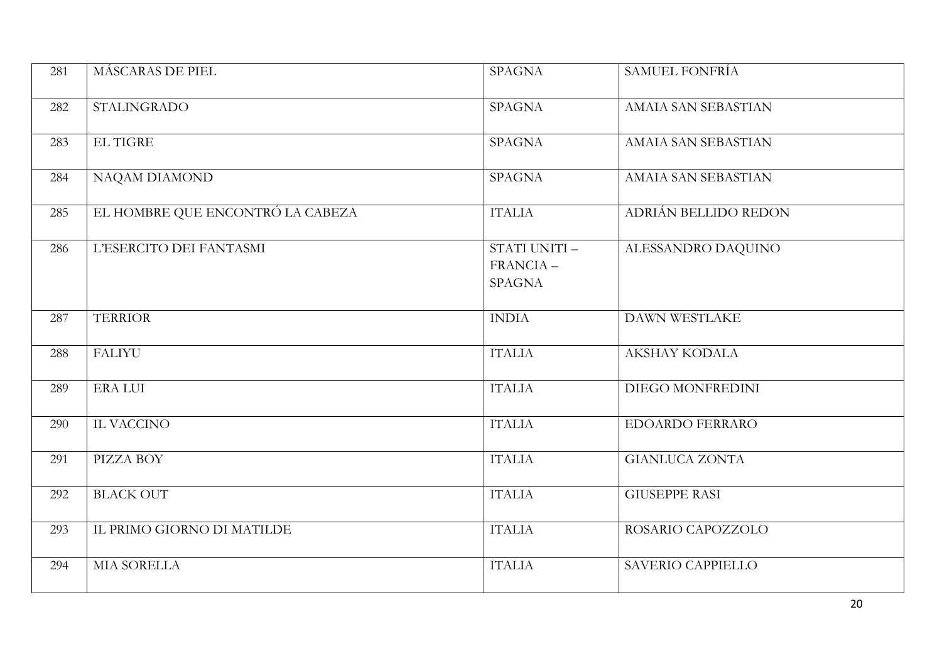| 281 | MÁSCARAS DE PIEL                 | <b>SPAGNA</b>                               | <b>SAMUEL FONFRÍA</b>    |
|-----|----------------------------------|---------------------------------------------|--------------------------|
| 282 | <b>STALINGRADO</b>               | <b>SPAGNA</b>                               | AMAIA SAN SEBASTIAN      |
| 283 | EL TIGRE                         | <b>SPAGNA</b>                               | AMAIA SAN SEBASTIAN      |
| 284 | NAQAM DIAMOND                    | <b>SPAGNA</b>                               | AMAIA SAN SEBASTIAN      |
| 285 | EL HOMBRE QUE ENCONTRÓ LA CABEZA | <b>ITALIA</b>                               | ADRIÁN BELLIDO REDON     |
| 286 | L'ESERCITO DEI FANTASMI          | STATI UNITI -<br>FRANCIA -<br><b>SPAGNA</b> | ALESSANDRO DAQUINO       |
| 287 | <b>TERRIOR</b>                   | <b>INDIA</b>                                | DAWN WESTLAKE            |
| 288 | <b>FALIYU</b>                    | <b>ITALIA</b>                               | AKSHAY KODALA            |
| 289 | ERA LUI                          | <b>ITALIA</b>                               | DIEGO MONFREDINI         |
| 290 | <b>IL VACCINO</b>                | <b>ITALIA</b>                               | <b>EDOARDO FERRARO</b>   |
| 291 | PIZZA BOY                        | <b>ITALIA</b>                               | <b>GIANLUCA ZONTA</b>    |
| 292 | <b>BLACK OUT</b>                 | <b>ITALIA</b>                               | <b>GIUSEPPE RASI</b>     |
| 293 | IL PRIMO GIORNO DI MATILDE       | <b>ITALIA</b>                               | ROSARIO CAPOZZOLO        |
| 294 | MIA SORELLA                      | <b>ITALIA</b>                               | <b>SAVERIO CAPPIELLO</b> |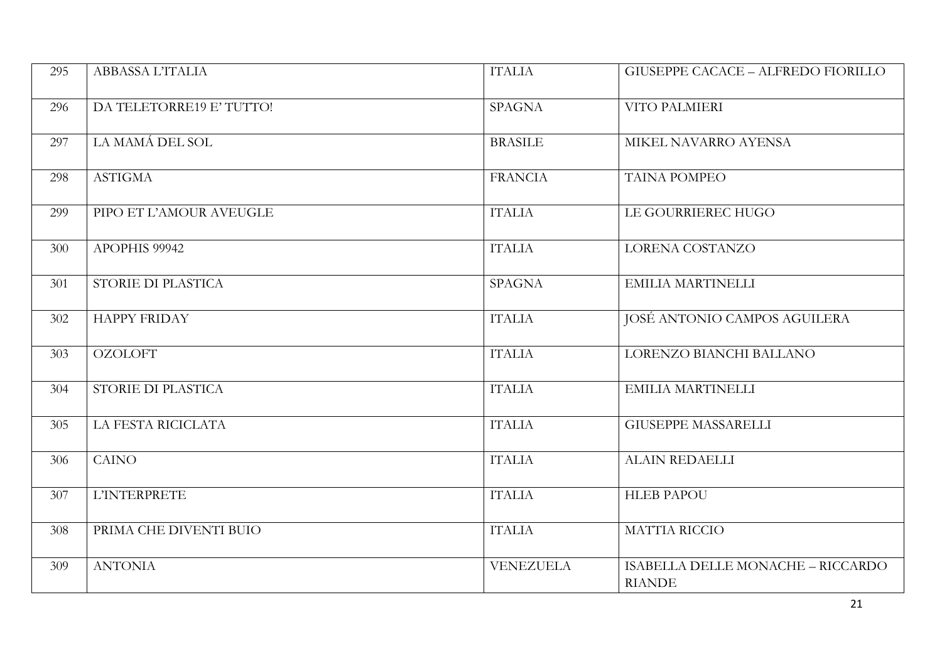| 295 | ABBASSA L'ITALIA         | <b>ITALIA</b>    | <b>GIUSEPPE CACACE - ALFREDO FIORILLO</b>          |
|-----|--------------------------|------------------|----------------------------------------------------|
| 296 | DA TELETORRE19 E' TUTTO! | <b>SPAGNA</b>    | VITO PALMIERI                                      |
| 297 | LA MAMÁ DEL SOL          | <b>BRASILE</b>   | MIKEL NAVARRO AYENSA                               |
| 298 | <b>ASTIGMA</b>           | <b>FRANCIA</b>   | <b>TAINA POMPEO</b>                                |
| 299 | PIPO ET L'AMOUR AVEUGLE  | <b>ITALIA</b>    | LE GOURRIEREC HUGO                                 |
| 300 | APOPHIS 99942            | <b>ITALIA</b>    | LORENA COSTANZO                                    |
| 301 | STORIE DI PLASTICA       | <b>SPAGNA</b>    | EMILIA MARTINELLI                                  |
| 302 | <b>HAPPY FRIDAY</b>      | <b>ITALIA</b>    | JOSÉ ANTONIO CAMPOS AGUILERA                       |
| 303 | <b>OZOLOFT</b>           | <b>ITALIA</b>    | LORENZO BIANCHI BALLANO                            |
| 304 | STORIE DI PLASTICA       | <b>ITALIA</b>    | EMILIA MARTINELLI                                  |
| 305 | LA FESTA RICICLATA       | <b>ITALIA</b>    | <b>GIUSEPPE MASSARELLI</b>                         |
| 306 | <b>CAINO</b>             | <b>ITALIA</b>    | <b>ALAIN REDAELLI</b>                              |
| 307 | L'INTERPRETE             | <b>ITALIA</b>    | <b>HLEB PAPOU</b>                                  |
| 308 | PRIMA CHE DIVENTI BUIO   | <b>ITALIA</b>    | <b>MATTIA RICCIO</b>                               |
| 309 | <b>ANTONIA</b>           | <b>VENEZUELA</b> | ISABELLA DELLE MONACHE - RICCARDO<br><b>RIANDE</b> |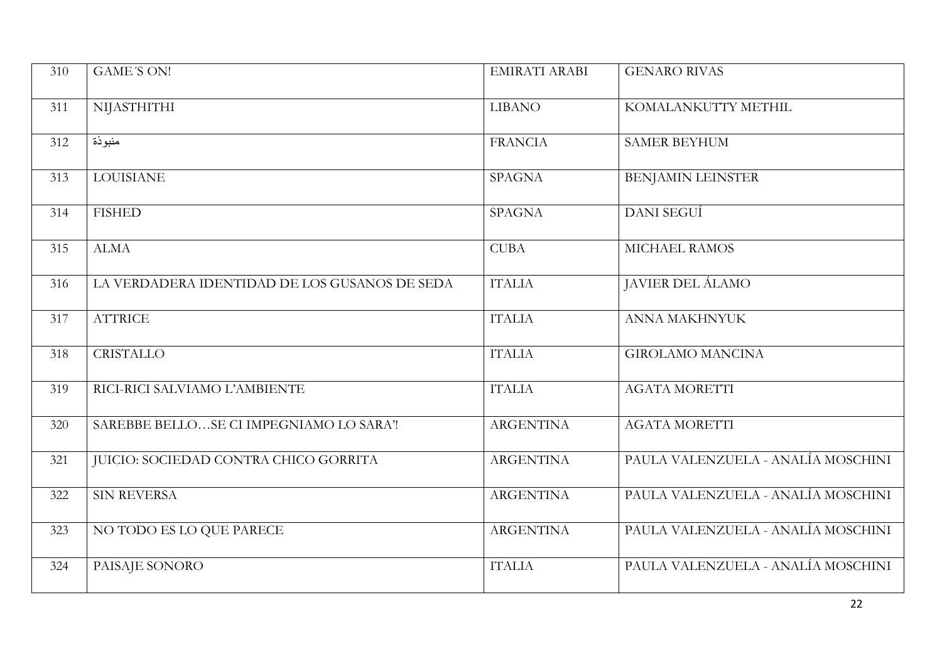| 310 | <b>GAME'S ON!</b>                             | EMIRATI ARABI    | <b>GENARO RIVAS</b>                |
|-----|-----------------------------------------------|------------------|------------------------------------|
| 311 | <b>NIJASTHITHI</b>                            | <b>LIBANO</b>    | KOMALANKUTTY METHIL                |
| 312 | منبوذة                                        | <b>FRANCIA</b>   | <b>SAMER BEYHUM</b>                |
| 313 | <b>LOUISIANE</b>                              | <b>SPAGNA</b>    | <b>BENJAMIN LEINSTER</b>           |
| 314 | <b>FISHED</b>                                 | <b>SPAGNA</b>    | DANI SEGUÍ                         |
| 315 | <b>ALMA</b>                                   | <b>CUBA</b>      | MICHAEL RAMOS                      |
| 316 | LA VERDADERA IDENTIDAD DE LOS GUSANOS DE SEDA | <b>ITALIA</b>    | <b>JAVIER DEL ÁLAMO</b>            |
| 317 | <b>ATTRICE</b>                                | <b>ITALIA</b>    | <b>ANNA MAKHNYUK</b>               |
| 318 | <b>CRISTALLO</b>                              | <b>ITALIA</b>    | <b>GIROLAMO MANCINA</b>            |
| 319 | RICI-RICI SALVIAMO L'AMBIENTE                 | <b>ITALIA</b>    | <b>AGATA MORETTI</b>               |
| 320 | SAREBBE BELLO SE CI IMPEGNIAMO LO SARA'!      | <b>ARGENTINA</b> | <b>AGATA MORETTI</b>               |
| 321 | JUICIO: SOCIEDAD CONTRA CHICO GORRITA         | <b>ARGENTINA</b> | PAULA VALENZUELA - ANALÍA MOSCHINI |
| 322 | <b>SIN REVERSA</b>                            | <b>ARGENTINA</b> | PAULA VALENZUELA - ANALÍA MOSCHINI |
| 323 | NO TODO ES LO QUE PARECE                      | <b>ARGENTINA</b> | PAULA VALENZUELA - ANALÍA MOSCHINI |
| 324 | PAISAJE SONORO                                | <b>ITALIA</b>    | PAULA VALENZUELA - ANALÍA MOSCHINI |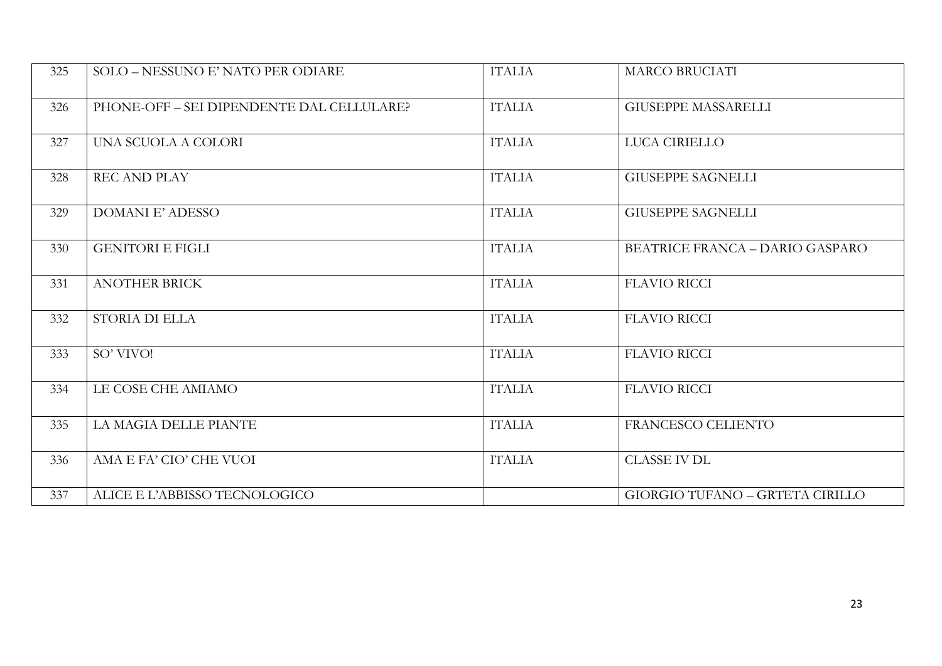| 325 | SOLO - NESSUNO E' NATO PER ODIARE         | <b>ITALIA</b> | <b>MARCO BRUCIATI</b>                  |
|-----|-------------------------------------------|---------------|----------------------------------------|
| 326 | PHONE-OFF - SEI DIPENDENTE DAL CELLULARE? | <b>ITALIA</b> | <b>GIUSEPPE MASSARELLI</b>             |
| 327 | UNA SCUOLA A COLORI                       | <b>ITALIA</b> | LUCA CIRIELLO                          |
| 328 | <b>REC AND PLAY</b>                       | <b>ITALIA</b> | <b>GIUSEPPE SAGNELLI</b>               |
| 329 | <b>DOMANI E' ADESSO</b>                   | <b>ITALIA</b> | <b>GIUSEPPE SAGNELLI</b>               |
| 330 | <b>GENITORI E FIGLI</b>                   | <b>ITALIA</b> | <b>BEATRICE FRANCA - DARIO GASPARO</b> |
| 331 | <b>ANOTHER BRICK</b>                      | <b>ITALIA</b> | <b>FLAVIO RICCI</b>                    |
| 332 | STORIA DI ELLA                            | <b>ITALIA</b> | <b>FLAVIO RICCI</b>                    |
| 333 | SO' VIVO!                                 | <b>ITALIA</b> | <b>FLAVIO RICCI</b>                    |
| 334 | LE COSE CHE AMIAMO                        | <b>ITALIA</b> | <b>FLAVIO RICCI</b>                    |
| 335 | LA MAGIA DELLE PIANTE                     | <b>ITALIA</b> | FRANCESCO CELIENTO                     |
| 336 | AMA E FA' CIO' CHE VUOI                   | <b>ITALIA</b> | <b>CLASSE IV DL</b>                    |
| 337 | ALICE E L'ABBISSO TECNOLOGICO             |               | GIORGIO TUFANO - GRTETA CIRILLO        |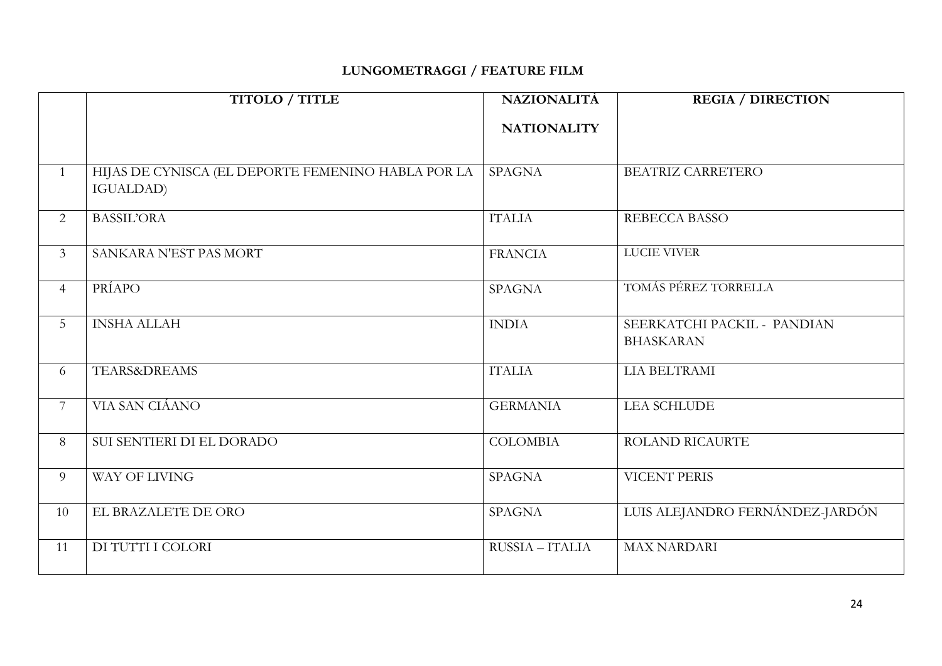## **LUNGOMETRAGGI / FEATURE FILM**

|                 | TITOLO / TITLE                                                  | <b>NAZIONALITÀ</b> | <b>REGIA / DIRECTION</b>                        |
|-----------------|-----------------------------------------------------------------|--------------------|-------------------------------------------------|
|                 |                                                                 | <b>NATIONALITY</b> |                                                 |
|                 |                                                                 |                    |                                                 |
| $\mathbf{1}$    | HIJAS DE CYNISCA (EL DEPORTE FEMENINO HABLA POR LA<br>IGUALDAD) | <b>SPAGNA</b>      | <b>BEATRIZ CARRETERO</b>                        |
| 2               | <b>BASSIL'ORA</b>                                               | <b>ITALIA</b>      | REBECCA BASSO                                   |
| $\mathfrak{Z}$  | SANKARA N'EST PAS MORT                                          | <b>FRANCIA</b>     | <b>LUCIE VIVER</b>                              |
| $\overline{4}$  | PRÍAPO                                                          | <b>SPAGNA</b>      | TOMÁS PÉREZ TORRELLA                            |
| $5\overline{)}$ | <b>INSHA ALLAH</b>                                              | <b>INDIA</b>       | SEERKATCHI PACKIL - PANDIAN<br><b>BHASKARAN</b> |
| 6               | <b>TEARS&amp;DREAMS</b>                                         | <b>ITALIA</b>      | LIA BELTRAMI                                    |
| $\overline{7}$  | VIA SAN CIÁANO                                                  | <b>GERMANIA</b>    | <b>LEA SCHLUDE</b>                              |
| 8               | SUI SENTIERI DI EL DORADO                                       | <b>COLOMBIA</b>    | <b>ROLAND RICAURTE</b>                          |
| 9               | WAY OF LIVING                                                   | <b>SPAGNA</b>      | VICENT PERIS                                    |
| 10              | EL BRAZALETE DE ORO                                             | <b>SPAGNA</b>      | LUIS ALEJANDRO FERNÁNDEZ-JARDÓN                 |
| 11              | DI TUTTI I COLORI                                               | RUSSIA - ITALIA    | <b>MAX NARDARI</b>                              |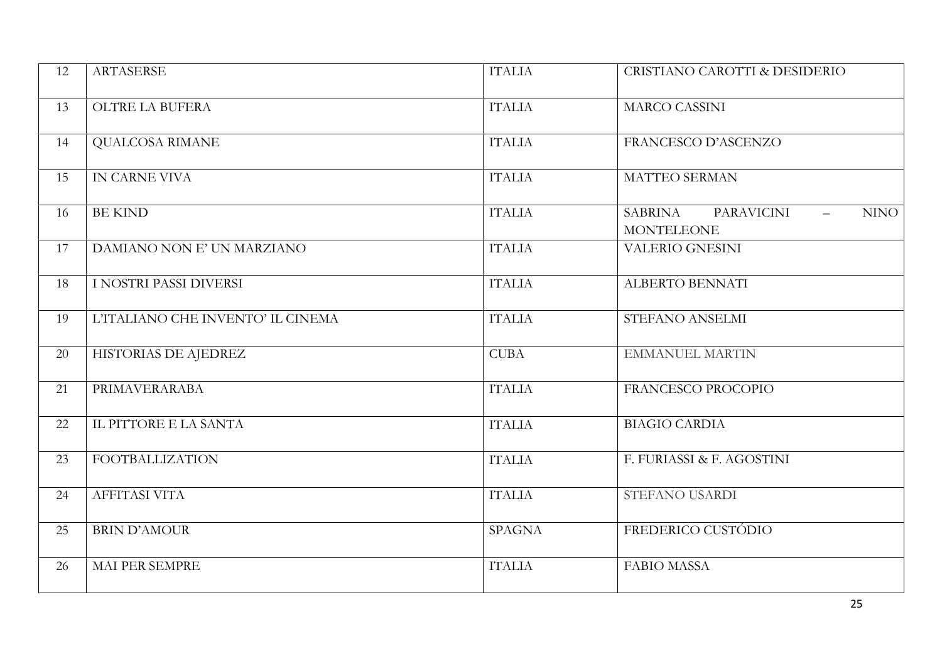| 12 | ARTASERSE                         | <b>ITALIA</b> | CRISTIANO CAROTTI & DESIDERIO                                                |
|----|-----------------------------------|---------------|------------------------------------------------------------------------------|
| 13 | OLTRE LA BUFERA                   | <b>ITALIA</b> | MARCO CASSINI                                                                |
| 14 | <b>QUALCOSA RIMANE</b>            | <b>ITALIA</b> | FRANCESCO D'ASCENZO                                                          |
| 15 | IN CARNE VIVA                     | <b>ITALIA</b> | MATTEO SERMAN                                                                |
| 16 | <b>BE KIND</b>                    | <b>ITALIA</b> | <b>SABRINA</b><br><b>PARAVICINI</b><br>NINO<br>$\equiv$<br><b>MONTELEONE</b> |
| 17 | DAMIANO NON E' UN MARZIANO        | <b>ITALIA</b> | <b>VALERIO GNESINI</b>                                                       |
| 18 | I NOSTRI PASSI DIVERSI            | <b>ITALIA</b> | <b>ALBERTO BENNATI</b>                                                       |
| 19 | L'ITALIANO CHE INVENTO' IL CINEMA | <b>ITALIA</b> | STEFANO ANSELMI                                                              |
| 20 | HISTORIAS DE AJEDREZ              | <b>CUBA</b>   | <b>EMMANUEL MARTIN</b>                                                       |
| 21 | PRIMAVERARABA                     | <b>ITALIA</b> | FRANCESCO PROCOPIO                                                           |
| 22 | IL PITTORE E LA SANTA             | <b>ITALIA</b> | <b>BIAGIO CARDIA</b>                                                         |
| 23 | <b>FOOTBALLIZATION</b>            | <b>ITALIA</b> | F. FURIASSI & F. AGOSTINI                                                    |
| 24 | <b>AFFITASI VITA</b>              | <b>ITALIA</b> | STEFANO USARDI                                                               |
| 25 | <b>BRIN D'AMOUR</b>               | <b>SPAGNA</b> | FREDERICO CUSTÓDIO                                                           |
| 26 | MAI PER SEMPRE                    | <b>ITALIA</b> | <b>FABIO MASSA</b>                                                           |